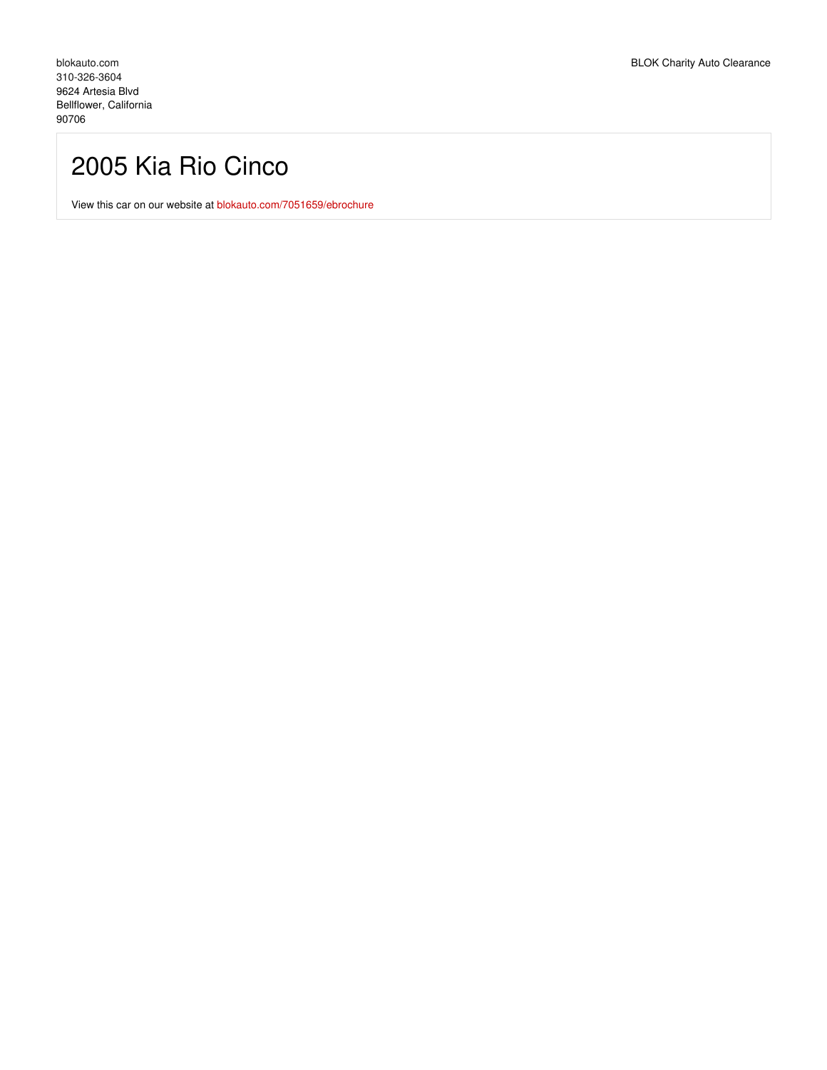## 2005 Kia Rio Cinco

View this car on our website at [blokauto.com/7051659/ebrochure](https://blokauto.com/vehicle/7051659/2005-kia-rio-cinco-bellflower-california-90706/7051659/ebrochure)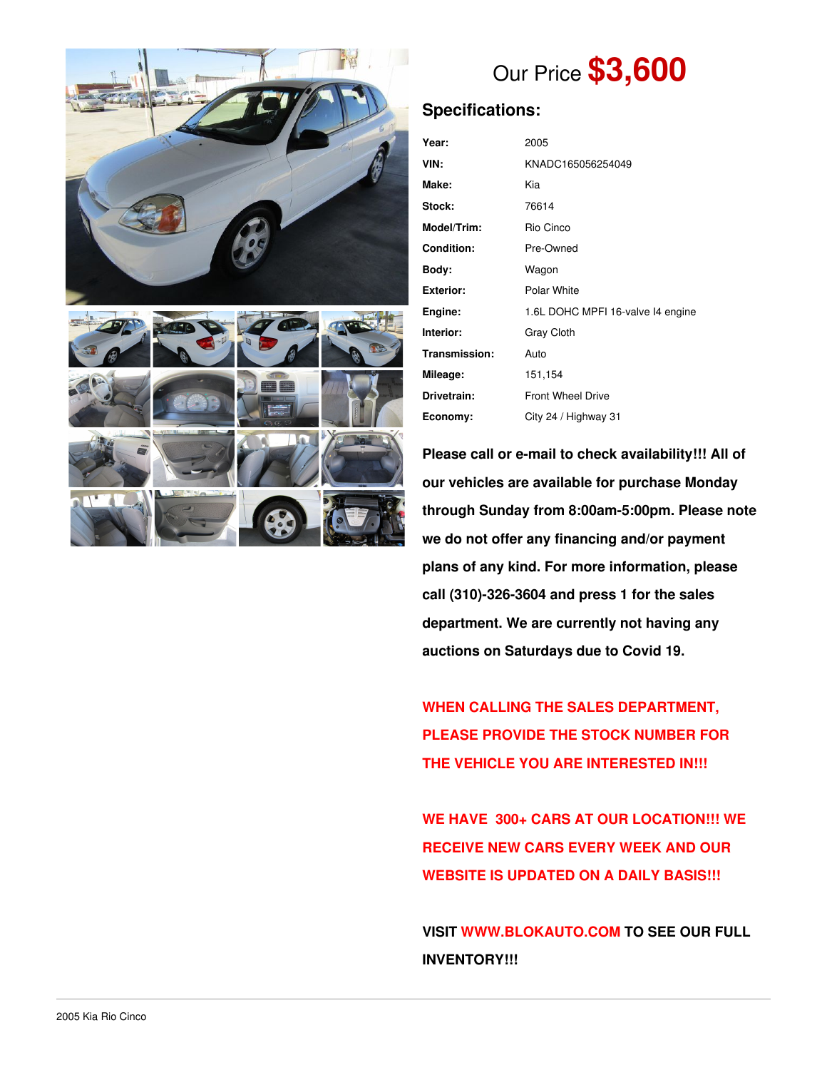



# Our Price **\$3,600**

## **Specifications:**

| Year:             | 2005                              |  |  |
|-------------------|-----------------------------------|--|--|
| VIN:              | KNADC165056254049                 |  |  |
| Make:             | Kia                               |  |  |
| Stock:            | 76614                             |  |  |
| Model/Trim:       | Rio Cinco                         |  |  |
| <b>Condition:</b> | Pre-Owned                         |  |  |
| Body:             | Wagon                             |  |  |
| <b>Exterior:</b>  | Polar White                       |  |  |
| Engine:           | 1.6L DOHC MPFI 16-valve I4 engine |  |  |
| Interior:         | Gray Cloth                        |  |  |
| Transmission:     | Auto                              |  |  |
| Mileage:          | 151,154                           |  |  |
| Drivetrain:       | <b>Front Wheel Drive</b>          |  |  |
| Economy:          | City 24 / Highway 31              |  |  |

**Please call or e-mail to check availability!!! All of our vehicles are available for purchase Monday through Sunday from 8:00am-5:00pm. Please note we do not offer any financing and/or payment plans of any kind. For more information, please call (310)-326-3604 and press 1 for the sales department. We are currently not having any auctions on Saturdays due to Covid 19.**

**WHEN CALLING THE SALES DEPARTMENT, PLEASE PROVIDE THE STOCK NUMBER FOR THE VEHICLE YOU ARE INTERESTED IN!!!**

**WE HAVE 300+ CARS AT OUR LOCATION!!! WE RECEIVE NEW CARS EVERY WEEK AND OUR WEBSITE IS UPDATED ON A DAILY BASIS!!!**

**VISIT [WWW.BLOKAUTO.COM](http://www.blockauto.com) TO SEE OUR FULL INVENTORY!!!**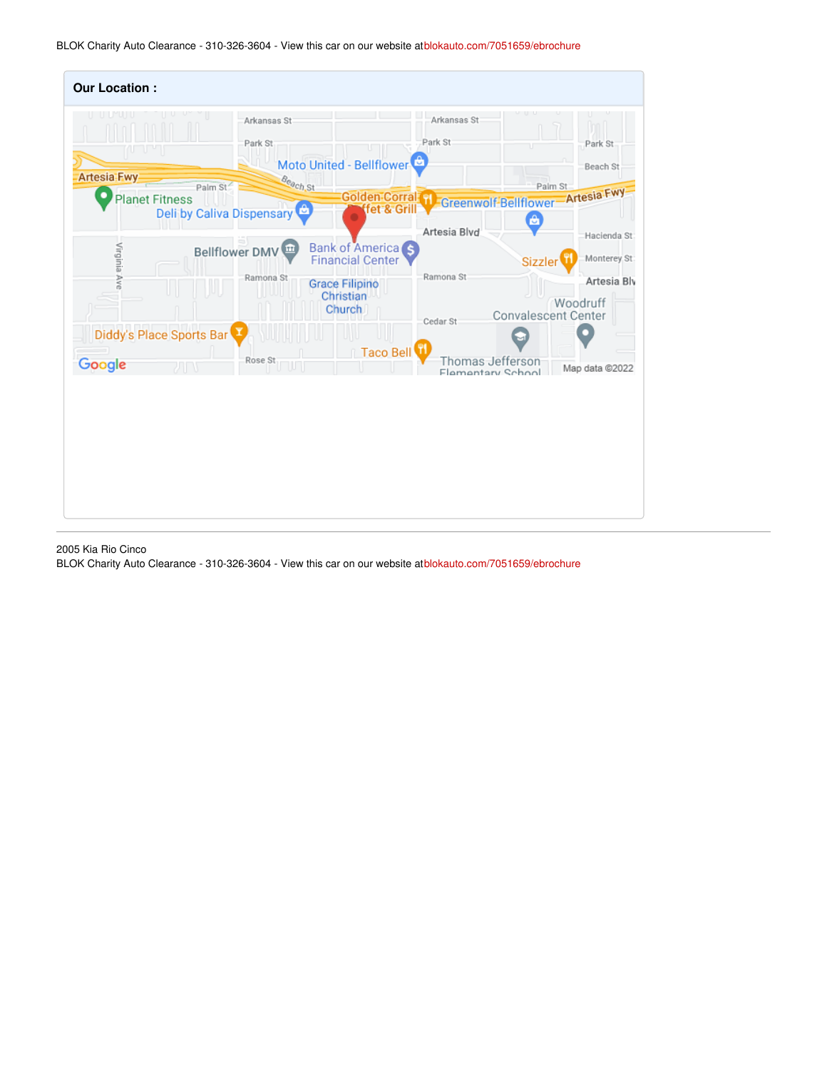BLOK Charity Auto Clearance - 310-326-3604 - View this car on our website at[blokauto.com/7051659/ebrochure](https://blokauto.com/vehicle/7051659/2005-kia-rio-cinco-bellflower-california-90706/7051659/ebrochure)

| <b>Our Location:</b>                        |                                                         |                                                         |                                       |                                                       |
|---------------------------------------------|---------------------------------------------------------|---------------------------------------------------------|---------------------------------------|-------------------------------------------------------|
| ru u                                        | Arkansas St<br>Park St                                  | Moto United - Bellflower                                | Arkansas St<br>Park St<br>U           | Park St<br>Beach St                                   |
| <b>Artesia Fwy</b><br><b>Planet Fitness</b> | Beach St<br>Palm St<br><b>Deli by Caliva Dispensary</b> | <b>Golden Corral PI</b><br>fet & Grill                  | Greenwolf-Bellflower-Artesia Fwy<br>â | Palm St                                               |
| Virginia Ave                                | m<br><b>Bellflower DMV</b>                              | Bank of America <sub>S</sub><br><b>Financial Center</b> | Artesia Blvd<br>Ramona St             | Hacienda St<br>Monterey St:<br>Sizzler                |
|                                             | Ramona St                                               | <b>Grace Filipino</b><br>Christian<br><b>Church</b>     | Cedar St                              | Artesia Blv<br>Woodruff<br><b>Convalescent Center</b> |
| Diddy's Place Sports Bar                    |                                                         | Taco Bell                                               |                                       |                                                       |
| Google<br>カロキ                               | Rose St                                                 |                                                         | Thomas Jefferson<br>Flementary School | Map data @2022                                        |
|                                             |                                                         |                                                         |                                       |                                                       |

2005 Kia Rio Cinco

BLOK Charity Auto Clearance - 310-326-3604 - View this car on our website at[blokauto.com/7051659/ebrochure](https://blokauto.com/vehicle/7051659/2005-kia-rio-cinco-bellflower-california-90706/7051659/ebrochure)